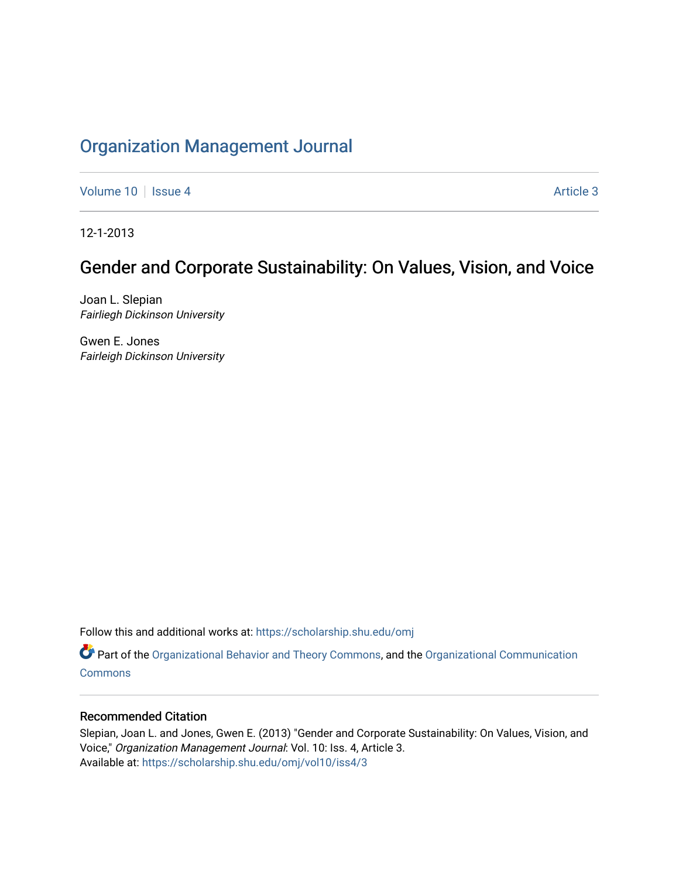## [Organization Management Journal](https://scholarship.shu.edu/omj)

[Volume 10](https://scholarship.shu.edu/omj/vol10) | [Issue 4](https://scholarship.shu.edu/omj/vol10/iss4) Article 3

12-1-2013

# Gender and Corporate Sustainability: On Values, Vision, and Voice

Joan L. Slepian Fairliegh Dickinson University

Gwen E. Jones Fairleigh Dickinson University

Follow this and additional works at: [https://scholarship.shu.edu/omj](https://scholarship.shu.edu/omj?utm_source=scholarship.shu.edu%2Fomj%2Fvol10%2Fiss4%2F3&utm_medium=PDF&utm_campaign=PDFCoverPages) 

Part of the [Organizational Behavior and Theory Commons,](http://network.bepress.com/hgg/discipline/639?utm_source=scholarship.shu.edu%2Fomj%2Fvol10%2Fiss4%2F3&utm_medium=PDF&utm_campaign=PDFCoverPages) and the [Organizational Communication](http://network.bepress.com/hgg/discipline/335?utm_source=scholarship.shu.edu%2Fomj%2Fvol10%2Fiss4%2F3&utm_medium=PDF&utm_campaign=PDFCoverPages) **[Commons](http://network.bepress.com/hgg/discipline/335?utm_source=scholarship.shu.edu%2Fomj%2Fvol10%2Fiss4%2F3&utm_medium=PDF&utm_campaign=PDFCoverPages)** 

### Recommended Citation

Slepian, Joan L. and Jones, Gwen E. (2013) "Gender and Corporate Sustainability: On Values, Vision, and Voice," Organization Management Journal: Vol. 10: Iss. 4, Article 3. Available at: [https://scholarship.shu.edu/omj/vol10/iss4/3](https://scholarship.shu.edu/omj/vol10/iss4/3?utm_source=scholarship.shu.edu%2Fomj%2Fvol10%2Fiss4%2F3&utm_medium=PDF&utm_campaign=PDFCoverPages)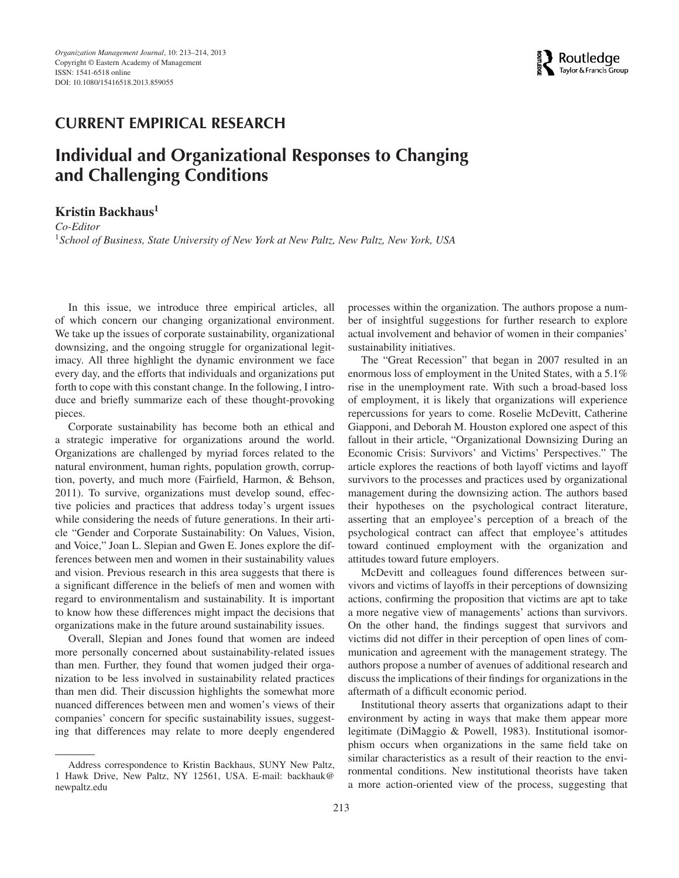## **CURRENT EMPIRICAL RESEARCH**

## **Individual and Organizational Responses to Changing and Challenging Conditions**

**Kristin Backhaus<sup>1</sup>**

*Co-Editor* <sup>1</sup>*School of Business, State University of New York at New Paltz, New Paltz, New York, USA*

In this issue, we introduce three empirical articles, all of which concern our changing organizational environment. We take up the issues of corporate sustainability, organizational downsizing, and the ongoing struggle for organizational legitimacy. All three highlight the dynamic environment we face every day, and the efforts that individuals and organizations put forth to cope with this constant change. In the following, I introduce and briefly summarize each of these thought-provoking pieces.

Corporate sustainability has become both an ethical and a strategic imperative for organizations around the world. Organizations are challenged by myriad forces related to the natural environment, human rights, population growth, corruption, poverty, and much more (Fairfield, Harmon, & Behson, 2011). To survive, organizations must develop sound, effective policies and practices that address today's urgent issues while considering the needs of future generations. In their article "Gender and Corporate Sustainability: On Values, Vision, and Voice," Joan L. Slepian and Gwen E. Jones explore the differences between men and women in their sustainability values and vision. Previous research in this area suggests that there is a significant difference in the beliefs of men and women with regard to environmentalism and sustainability. It is important to know how these differences might impact the decisions that organizations make in the future around sustainability issues.

Overall, Slepian and Jones found that women are indeed more personally concerned about sustainability-related issues than men. Further, they found that women judged their organization to be less involved in sustainability related practices than men did. Their discussion highlights the somewhat more nuanced differences between men and women's views of their companies' concern for specific sustainability issues, suggesting that differences may relate to more deeply engendered

Address correspondence to Kristin Backhaus, SUNY New Paltz, 1 Hawk Drive, New Paltz, NY 12561, USA. E-mail: backhauk@ newpaltz.edu

processes within the organization. The authors propose a number of insightful suggestions for further research to explore actual involvement and behavior of women in their companies' sustainability initiatives.

The "Great Recession" that began in 2007 resulted in an enormous loss of employment in the United States, with a 5.1% rise in the unemployment rate. With such a broad-based loss of employment, it is likely that organizations will experience repercussions for years to come. Roselie McDevitt, Catherine Giapponi, and Deborah M. Houston explored one aspect of this fallout in their article, "Organizational Downsizing During an Economic Crisis: Survivors' and Victims' Perspectives." The article explores the reactions of both layoff victims and layoff survivors to the processes and practices used by organizational management during the downsizing action. The authors based their hypotheses on the psychological contract literature, asserting that an employee's perception of a breach of the psychological contract can affect that employee's attitudes toward continued employment with the organization and attitudes toward future employers.

McDevitt and colleagues found differences between survivors and victims of layoffs in their perceptions of downsizing actions, confirming the proposition that victims are apt to take a more negative view of managements' actions than survivors. On the other hand, the findings suggest that survivors and victims did not differ in their perception of open lines of communication and agreement with the management strategy. The authors propose a number of avenues of additional research and discuss the implications of their findings for organizations in the aftermath of a difficult economic period.

Institutional theory asserts that organizations adapt to their environment by acting in ways that make them appear more legitimate (DiMaggio & Powell, 1983). Institutional isomorphism occurs when organizations in the same field take on similar characteristics as a result of their reaction to the environmental conditions. New institutional theorists have taken a more action-oriented view of the process, suggesting that